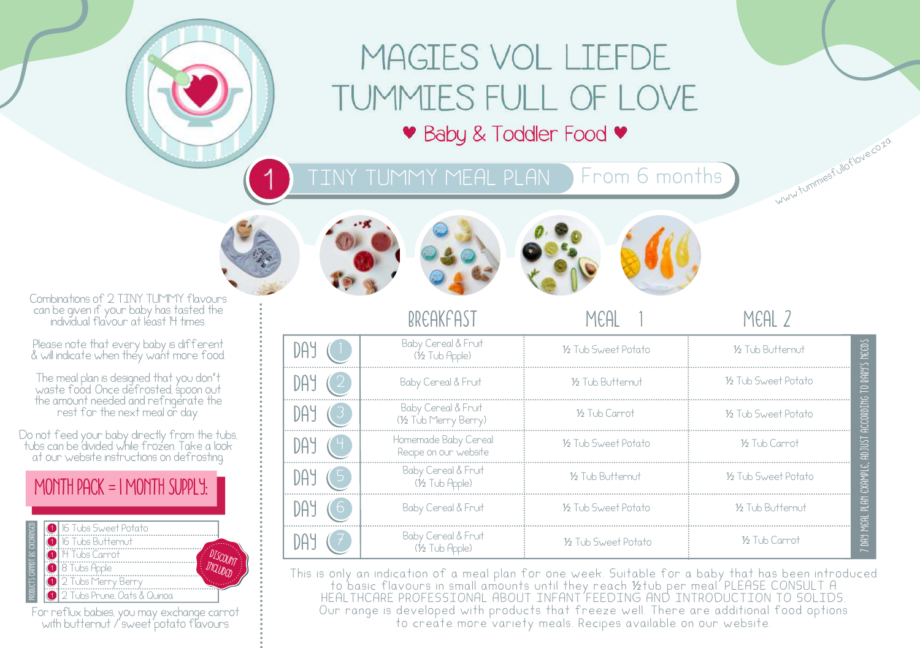# MAGIES VOL LIEFDE TUMMIES FULL OF LOVE • Baby & Toddler Food •

TINY TUMMY MEAL PLAN From 6 months







breakfast meal 1 meal 2

ww.tummesfulloflove.co.zo

|   | Baby Cereal & Fruit<br>(1/2 Tub Apple)        | 16 Tub Sweet Potato | 16 Tub Butternut    | NECDS                    |
|---|-----------------------------------------------|---------------------|---------------------|--------------------------|
|   | Baby Cereal & Fruit                           | 16 Tub Butternut    | 16 Tub Sweet Potato | <b>S.FOBB</b><br>0       |
|   | Baby Cereal & Fruit<br>(1/2 Tub Merry Berry)  | 16 Tub Carrot       | 16 Tub Sweet Potato | CCORDING<br>$\bar{a}$    |
|   | Homemade Baby Cereal<br>Recipe on our website | 16 Tub Sweet Potato | 16 Tub Carrot       | <b>TSUIGH</b>            |
| . | Baby Cereal & Fruit<br>(½ Tub Apple)          | 16 Tub Buttemut     | 16 Tub Sweet Potato | EXAMPLE,                 |
|   | Baby Cereal & Fruit                           | 16 Tub Sweet Potato | 16 Tub Butternut    | <b>RIN</b><br><b>MSH</b> |
|   | Baby Cereal & Fruit                           | 16 Tub Sweet Potato | 1/2 Tub Carrot      | 蛋                        |

This is only an indication of a meal plan for one week. Suitable for a baby that has been introduced to basic flavours in small amounts until they reach ½tub per meal. PLEASE CONSULT A HEALTHCARE PROFESSIONAL ABOUT INFANT FEEDING AND INTRODUCTION TO SOLIDS. Our range is developed with products that freeze well. There are additional food options to create more variety meals. Recipes available on our website.

Combinations of 2 TINY TUMMY flavours can be given if your baby has tasted the individual flavour at least 14 times.

Please note that every baby is different & will indicate when they want more food.

The meal plan is designed that you don't waste food. Once defrosted, spoon out the amount needed and refrigerate the rest for the next meal or day.

Do not feed your baby directly from the tubs, tubs can be divided while frozen. Take a look at our website instructions on defrosting.



|  | <b>16</b> Tubs Sweet Potato<br><b>O</b> 16 Tubs Butternut<br><b>O</b> H Tubs Carrot  |  |
|--|--------------------------------------------------------------------------------------|--|
|  | <b>8</b> 8 Tubs Apple<br>2 Tubs Menry Berry<br><b>10</b> 2 Tubs Prune. Oats & Quinoa |  |

For reflux babies, you may exchange carrot with butternut / sweet potato flavours.